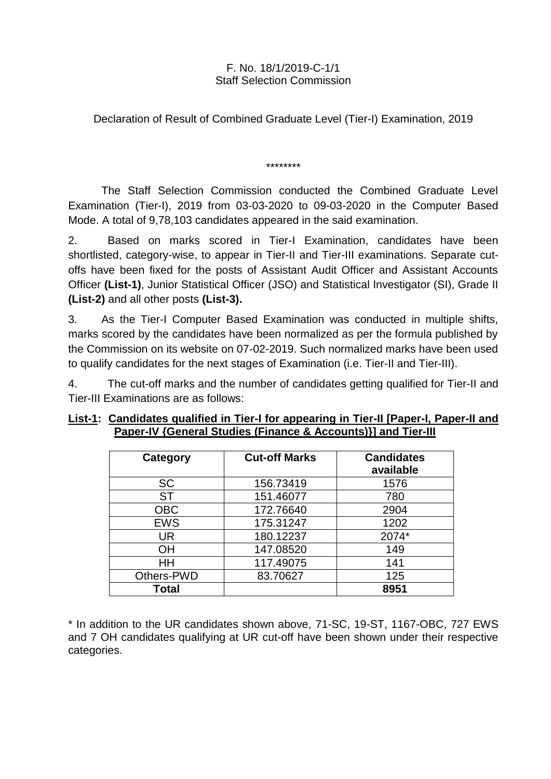## F. No. 18/1/2019-C-1/1 Staff Selection Commission

Declaration of Result of Combined Graduate Level (Tier-I) Examination, 2019

\*\*\*\*\*\*\*\*

The Staff Selection Commission conducted the Combined Graduate Level Examination (Tier-I), 2019 from 03-03-2020 to 09-03-2020 in the Computer Based Mode. A total of 9,78,103 candidates appeared in the said examination.

2. Based on marks scored in Tier-I Examination, candidates have been shortlisted, category-wise, to appear in Tier-II and Tier-III examinations. Separate cutoffs have been fixed for the posts of Assistant Audit Officer and Assistant Accounts Officer **(List-1)**, Junior Statistical Officer (JSO) and Statistical Investigator (SI), Grade II **(List-2)** and all other posts **(List-3).**

3. As the Tier-I Computer Based Examination was conducted in multiple shifts, marks scored by the candidates have been normalized as per the formula published by the Commission on its website on 07-02-2019. Such normalized marks have been used to qualify candidates for the next stages of Examination (i.e. Tier-II and Tier-III).

4. The cut-off marks and the number of candidates getting qualified for Tier-II and Tier-III Examinations are as follows:

| <b>Category</b> | <b>Cut-off Marks</b> | <b>Candidates</b><br>available |
|-----------------|----------------------|--------------------------------|
| <b>SC</b>       | 156.73419            | 1576                           |
| <b>ST</b>       | 151.46077            | 780                            |
| <b>OBC</b>      | 172.76640            | 2904                           |
| <b>EWS</b>      | 175.31247            | 1202                           |
| <b>UR</b>       | 180.12237            | 2074*                          |
| ΟH              | 147.08520            | 149                            |
| HH              | 117.49075            | 141                            |
| Others-PWD      | 83.70627             | 125                            |
| Total           |                      | 8951                           |

## **List-1: Candidates qualified in Tier-I for appearing in Tier-II [Paper-I, Paper-II and Paper-IV {General Studies (Finance & Accounts)}] and Tier-III**

\* In addition to the UR candidates shown above, 71-SC, 19-ST, 1167-OBC, 727 EWS and 7 OH candidates qualifying at UR cut-off have been shown under their respective categories.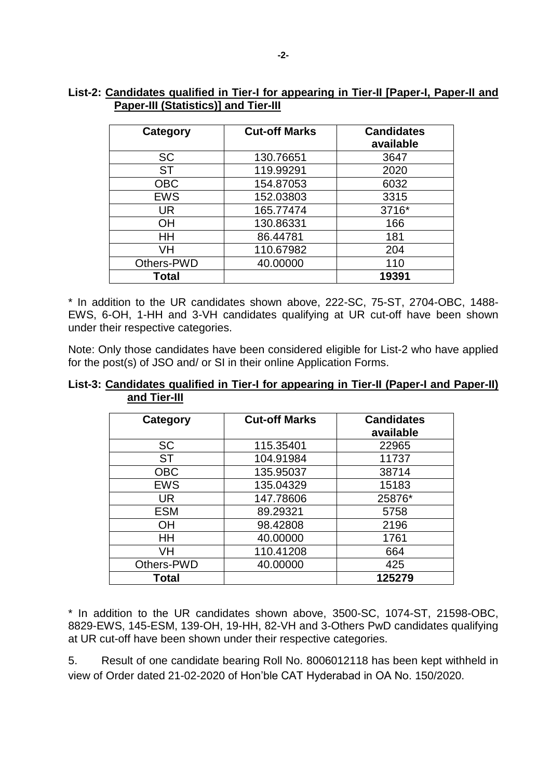## **List-2: Candidates qualified in Tier-I for appearing in Tier-II [Paper-I, Paper-II and Paper-III (Statistics)] and Tier-III**

| <b>Category</b> | <b>Cut-off Marks</b> | <b>Candidates</b><br>available |
|-----------------|----------------------|--------------------------------|
| <b>SC</b>       | 130.76651            | 3647                           |
| <b>ST</b>       | 119.99291            | 2020                           |
| <b>OBC</b>      | 154.87053            | 6032                           |
| <b>EWS</b>      | 152.03803            | 3315                           |
| <b>UR</b>       | 165.77474            | 3716*                          |
| OH              | 130.86331            | 166                            |
| HH              | 86.44781             | 181                            |
| VH              | 110.67982            | 204                            |
| Others-PWD      | 40.00000             | 110                            |
| Total           |                      | 19391                          |

\* In addition to the UR candidates shown above, 222-SC, 75-ST, 2704-OBC, 1488- EWS, 6-OH, 1-HH and 3-VH candidates qualifying at UR cut-off have been shown under their respective categories.

Note: Only those candidates have been considered eligible for List-2 who have applied for the post(s) of JSO and/ or SI in their online Application Forms.

|              | List-3: Candidates qualified in Tier-I for appearing in Tier-II (Paper-I and Paper-II) |  |  |  |  |
|--------------|----------------------------------------------------------------------------------------|--|--|--|--|
| and Tier-III |                                                                                        |  |  |  |  |

| Category   | <b>Cut-off Marks</b> | <b>Candidates</b><br>available |
|------------|----------------------|--------------------------------|
| <b>SC</b>  | 115.35401            | 22965                          |
| <b>ST</b>  | 104.91984            | 11737                          |
| <b>OBC</b> | 135.95037            | 38714                          |
| <b>EWS</b> | 135.04329            | 15183                          |
| <b>UR</b>  | 147.78606            | 25876*                         |
| <b>ESM</b> | 89.29321             | 5758                           |
| ΟH         | 98.42808             | 2196                           |
| HH         | 40.00000             | 1761                           |
| VH         | 110.41208            | 664                            |
| Others-PWD | 40.00000             | 425                            |
| Total      |                      | 125279                         |

\* In addition to the UR candidates shown above, 3500-SC, 1074-ST, 21598-OBC, 8829-EWS, 145-ESM, 139-OH, 19-HH, 82-VH and 3-Others PwD candidates qualifying at UR cut-off have been shown under their respective categories.

5. Result of one candidate bearing Roll No. 8006012118 has been kept withheld in view of Order dated 21-02-2020 of Hon'ble CAT Hyderabad in OA No. 150/2020.